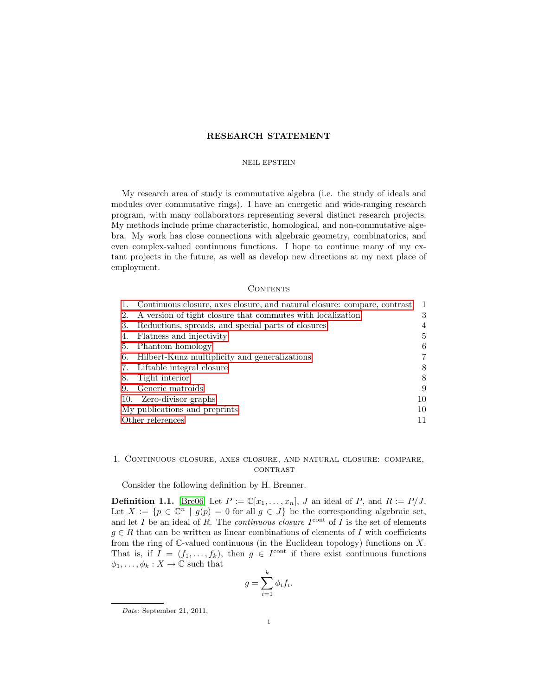# RESEARCH STATEMENT

## NEIL EPSTEIN

My research area of study is commutative algebra (i.e. the study of ideals and modules over commutative rings). I have an energetic and wide-ranging research program, with many collaborators representing several distinct research projects. My methods include prime characteristic, homological, and non-commutative algebra. My work has close connections with algebraic geometry, combinatorics, and even complex-valued continuous functions. I hope to continue many of my extant projects in the future, as well as develop new directions at my next place of employment.

## **CONTENTS**

|                               | Continuous closure, axes closure, and natural closure: compare, contrast | $\mathbf{1}$ |
|-------------------------------|--------------------------------------------------------------------------|--------------|
| 2.                            | A version of tight closure that commutes with localization               | 3            |
| 3.                            | Reductions, spreads, and special parts of closures                       | 4            |
| 4.                            | Flatness and injectivity                                                 | 5            |
| 5.                            | Phantom homology                                                         | 6            |
| 6.                            | Hilbert-Kunz multiplicity and generalizations                            | 7            |
| 7.                            | Liftable integral closure                                                | 8            |
| 8.                            | Tight interior                                                           | 8            |
| 9.                            | Generic matroids                                                         | 9            |
|                               | 10. Zero-divisor graphs                                                  | 10           |
| My publications and preprints |                                                                          | 10           |
| Other references<br>11        |                                                                          |              |

# <span id="page-0-0"></span>1. Continuous closure, axes closure, and natural closure: compare, **CONTRAST**

Consider the following definition by H. Brenner.

**Definition 1.1.** [\[Bre06\]](#page-10-1) Let  $P := \mathbb{C}[x_1, \ldots, x_n]$ , J an ideal of P, and  $R := P/J$ . Let  $X := \{p \in \mathbb{C}^n \mid g(p) = 0 \text{ for all } g \in J\}$  be the corresponding algebraic set, and let I be an ideal of R. The *continuous closure*  $I^{\text{cont}}$  of I is the set of elements  $g \in R$  that can be written as linear combinations of elements of I with coefficients from the ring of  $\mathbb{C}\text{-}$  valued continuous (in the Euclidean topology) functions on X. That is, if  $I = (f_1, \ldots, f_k)$ , then  $g \in I^{\text{cont}}$  if there exist continuous functions  $\phi_1, \ldots, \phi_k : X \to \mathbb{C}$  such that

$$
g = \sum_{i=1}^{k} \phi_i f_i.
$$

Date: September 21, 2011.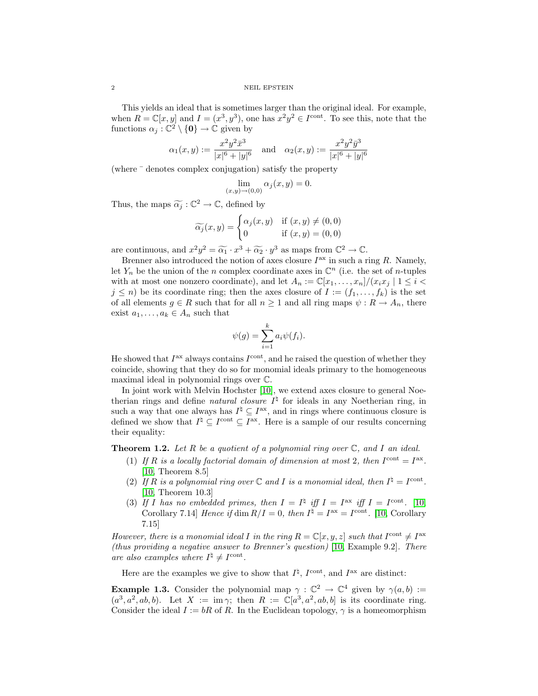This yields an ideal that is sometimes larger than the original ideal. For example, when  $R = \mathbb{C}[x, y]$  and  $I = (x^3, y^3)$ , one has  $x^2y^2 \in I^{\text{cont}}$ . To see this, note that the functions  $\alpha_j : \mathbb{C}^2 \setminus \{0\} \to \mathbb{C}$  given by

$$
\alpha_1(x,y) := \frac{x^2 y^2 \bar{x}^3}{|x|^6 + |y|^6} \quad \text{and} \quad \alpha_2(x,y) := \frac{x^2 y^2 \bar{y}^3}{|x|^6 + |y|^6}
$$

(where ¯ denotes complex conjugation) satisfy the property

$$
\lim_{(x,y)\to(0,0)} \alpha_j(x,y) = 0.
$$

Thus, the maps  $\widetilde{\alpha_j} : \mathbb{C}^2 \to \mathbb{C}$ , defined by

$$
\widetilde{\alpha_j}(x, y) = \begin{cases} \alpha_j(x, y) & \text{if } (x, y) \neq (0, 0) \\ 0 & \text{if } (x, y) = (0, 0) \end{cases}
$$

are continuous, and  $x^2y^2 = \widetilde{\alpha_1} \cdot x^3 + \widetilde{\alpha_2} \cdot y^3$  as maps from  $\mathbb{C}^2 \to \mathbb{C}$ .<br>Bronner also introduced the notion of axes closure  $I^{ax}$  in such a r

Brenner also introduced the notion of axes closure  $I<sup>ax</sup>$  in such a ring R. Namely, let  $Y_n$  be the union of the n complex coordinate axes in  $\mathbb{C}^n$  (i.e. the set of n-tuples with at most one nonzero coordinate), and let  $A_n := \mathbb{C}[x_1, \ldots, x_n]/(x_i x_j \mid 1 \leq i$  $j \leq n$ ) be its coordinate ring; then the axes closure of  $I := (f_1, \ldots, f_k)$  is the set of all elements  $g \in R$  such that for all  $n \geq 1$  and all ring maps  $\psi : R \to A_n$ , there exist  $a_1, \ldots, a_k \in A_n$  such that

$$
\psi(g) = \sum_{i=1}^{k} a_i \psi(f_i).
$$

He showed that  $I<sup>ax</sup>$  always contains  $I<sup>cont</sup>$ , and he raised the question of whether they coincide, showing that they do so for monomial ideals primary to the homogeneous maximal ideal in polynomial rings over C.

In joint work with Melvin Hochster [\[10\]](#page-9-2), we extend axes closure to general Noetherian rings and define *natural closure*  $I^{\natural}$  for ideals in any Noetherian ring, in such a way that one always has  $I^{\sharp} \subseteq I^{ax}$ , and in rings where continuous closure is defined we show that  $I^{\natural} \subseteq I^{\text{cont}} \subseteq I^{\text{ax}}$ . Here is a sample of our results concerning their equality:

**Theorem 1.2.** Let R be a quotient of a polynomial ring over  $\mathbb{C}$ , and I an ideal.

- (1) If R is a locally factorial domain of dimension at most 2, then  $I^{\text{cont}} = I^{\text{ax}}$ . [\[10,](#page-9-2) Theorem 8.5]
- (2) If R is a polynomial ring over  $\mathbb C$  and I is a monomial ideal, then  $I^{\natural} = I^{\text{cont}}$ . [\[10,](#page-9-2) Theorem 10.3]
- (3) If I has no embedded primes, then  $I = I^{\natural}$  iff  $I = I^{\text{ax}}$  iff  $I = I^{\text{cont}}$ . [\[10,](#page-9-2) Corollary 7.14 Hence if dim  $R/I = 0$ , then  $I^{\dagger} = I^{\text{ax}} = I^{\text{cont}}$ . [\[10,](#page-9-2) Corollary 7.15]

However, there is a monomial ideal I in the ring  $R = \mathbb{C}[x, y, z]$  such that  $I^{\text{cont}} \neq I^{\text{ax}}$ (thus providing a negative answer to Brenner's question) [\[10,](#page-9-2) Example 9.2]. There are also examples where  $I^{\natural} \neq I^{\text{cont}}$ .

Here are the examples we give to show that  $I^{\natural}$ ,  $I^{\text{cont}}$ , and  $I^{\text{ax}}$  are distinct:

**Example 1.3.** Consider the polynomial map  $\gamma : \mathbb{C}^2 \to \mathbb{C}^4$  given by  $\gamma(a, b) :=$  $(a^3, a^2, ab, b)$ . Let  $X := \text{im } \gamma$ ; then  $R := \mathbb{C}[a^3, a^2, ab, b]$  is its coordinate ring. Consider the ideal  $I := bR$  of R. In the Euclidean topology,  $\gamma$  is a homeomorphism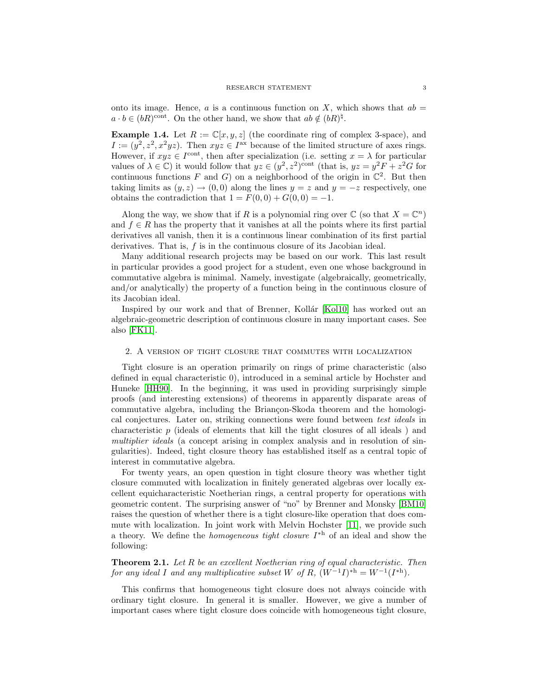onto its image. Hence, a is a continuous function on X, which shows that  $ab =$  $a \cdot b \in (bR)^{\text{cont}}$ . On the other hand, we show that  $ab \notin (bR)^{\natural}$ .

**Example 1.4.** Let  $R := \mathbb{C}[x, y, z]$  (the coordinate ring of complex 3-space), and  $I := (y^2, z^2, x^2yz)$ . Then  $xyz \in I^{ax}$  because of the limited structure of axes rings. However, if  $xyz \in I^{\text{cont}}$ , then after specialization (i.e. setting  $x = \lambda$  for particular values of  $\lambda \in \mathbb{C}$ ) it would follow that  $yz \in (y^2, z^2)$ <sup>cont</sup> (that is,  $yz = y^2F + z^2G$  for continuous functions F and G) on a neighborhood of the origin in  $\mathbb{C}^2$ . But then taking limits as  $(y, z) \rightarrow (0, 0)$  along the lines  $y = z$  and  $y = -z$  respectively, one obtains the contradiction that  $1 = F(0,0) + G(0,0) = -1$ .

Along the way, we show that if R is a polynomial ring over  $\mathbb C$  (so that  $X = \mathbb C^n$ ) and  $f \in R$  has the property that it vanishes at all the points where its first partial derivatives all vanish, then it is a continuous linear combination of its first partial derivatives. That is, f is in the continuous closure of its Jacobian ideal.

Many additional research projects may be based on our work. This last result in particular provides a good project for a student, even one whose background in commutative algebra is minimal. Namely, investigate (algebraically, geometrically, and/or analytically) the property of a function being in the continuous closure of its Jacobian ideal.

Inspired by our work and that of Brenner, Kollár [\[Kol10\]](#page-10-2) has worked out an algebraic-geometric description of continuous closure in many important cases. See also [\[FK11\]](#page-10-3).

# <span id="page-2-0"></span>2. A version of tight closure that commutes with localization

Tight closure is an operation primarily on rings of prime characteristic (also defined in equal characteristic 0), introduced in a seminal article by Hochster and Huneke [\[HH90\]](#page-10-4). In the beginning, it was used in providing surprisingly simple proofs (and interesting extensions) of theorems in apparently disparate areas of commutative algebra, including the Briançon-Skoda theorem and the homological conjectures. Later on, striking connections were found between test ideals in characteristic p (ideals of elements that kill the tight closures of all ideals ) and multiplier ideals (a concept arising in complex analysis and in resolution of singularities). Indeed, tight closure theory has established itself as a central topic of interest in commutative algebra.

For twenty years, an open question in tight closure theory was whether tight closure commuted with localization in finitely generated algebras over locally excellent equicharacteristic Noetherian rings, a central property for operations with geometric content. The surprising answer of "no" by Brenner and Monsky [\[BM10\]](#page-10-5) raises the question of whether there is a tight closure-like operation that does commute with localization. In joint work with Melvin Hochster [\[11\]](#page-10-6), we provide such a theory. We define the *homogeneous tight closure*  $I^*$  of an ideal and show the following:

**Theorem 2.1.** Let  $R$  be an excellent Noetherian ring of equal characteristic. Then for any ideal I and any multiplicative subset W of R,  $(W^{-1}I)^{*h} = W^{-1}(I^{*h})$ .

This confirms that homogeneous tight closure does not always coincide with ordinary tight closure. In general it is smaller. However, we give a number of important cases where tight closure does coincide with homogeneous tight closure,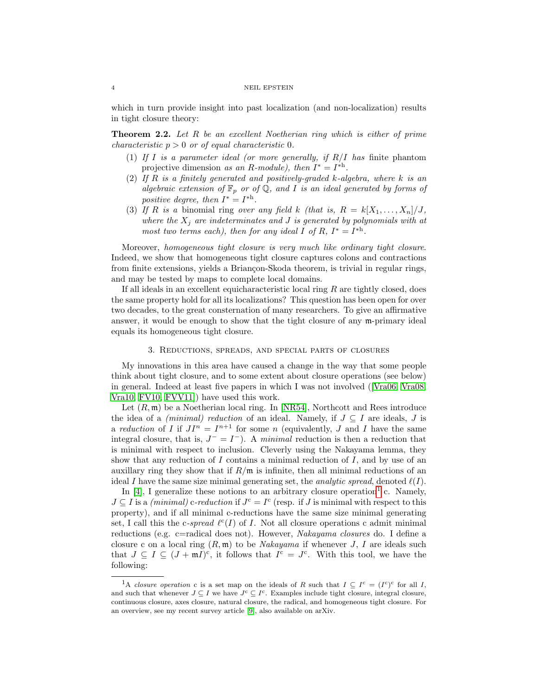which in turn provide insight into past localization (and non-localization) results in tight closure theory:

**Theorem 2.2.** Let R be an excellent Noetherian ring which is either of prime *characteristic*  $p > 0$  *or of equal characteristic* 0.

- (1) If I is a parameter ideal (or more generally, if  $R/I$  has finite phantom projective dimension as an R-module), then  $I^* = I^{*h}$ .
- (2) If  $R$  is a finitely generated and positively-graded  $k$ -algebra, where  $k$  is an algebraic extension of  $\mathbb{F}_p$  or of  $\mathbb{Q}$ , and I is an ideal generated by forms of positive degree, then  $I^* = I^{*h}$ .
- (3) If R is a binomial ring over any field k (that is,  $R = k[X_1, \ldots, X_n]/J$ , where the  $X_j$  are indeterminates and J is generated by polynomials with at most two terms each), then for any ideal I of R,  $I^* = I^{*h}$ .

Moreover, homogeneous tight closure is very much like ordinary tight closure. Indeed, we show that homogeneous tight closure captures colons and contractions from finite extensions, yields a Briançon-Skoda theorem, is trivial in regular rings, and may be tested by maps to complete local domains.

If all ideals in an excellent equicharacteristic local ring  $R$  are tightly closed, does the same property hold for all its localizations? This question has been open for over two decades, to the great consternation of many researchers. To give an affirmative answer, it would be enough to show that the tight closure of any m-primary ideal equals its homogeneous tight closure.

### 3. Reductions, spreads, and special parts of closures

<span id="page-3-0"></span>My innovations in this area have caused a change in the way that some people think about tight closure, and to some extent about closure operations (see below) in general. Indeed at least five papers in which I was not involved([\[Vra06,](#page-11-0) [Vra08,](#page-11-1) [Vra10,](#page-11-2) [FV10,](#page-10-7) [FVV11\]](#page-10-8)) have used this work.

Let  $(R, \mathfrak{m})$  be a Noetherian local ring. In [\[NR54\]](#page-10-9), Northcott and Rees introduce the idea of a (minimal) reduction of an ideal. Namely, if  $J \subseteq I$  are ideals, J is a reduction of I if  $JI^n = I^{n+1}$  for some n (equivalently, J and I have the same integral closure, that is,  $J^- = I^-$ ). A minimal reduction is then a reduction that is minimal with respect to inclusion. Cleverly using the Nakayama lemma, they show that any reduction of  $I$  contains a minimal reduction of  $I$ , and by use of an auxillary ring they show that if  $R/\mathfrak{m}$  is infinite, then all minimal reductions of an ideal I have the same size minimal generating set, the *analytic spread*, denoted  $\ell(I)$ .

In [\[4\]](#page-9-3), I generalize these notions to an arbitrary closure operation<sup>[1](#page-3-1)</sup> c. Namely,  $J \subseteq I$  is a *(minimal)* c-reduction if  $J<sup>c</sup> = I<sup>c</sup>$  (resp. if J is minimal with respect to this property), and if all minimal c-reductions have the same size minimal generating set, I call this the c-spread  $\ell^c(I)$  of I. Not all closure operations c admit minimal reductions (e.g. c=radical does not). However, Nakayama closures do. I define a closure c on a local ring  $(R, \mathfrak{m})$  to be *Nakayama* if whenever *J*, *I* are ideals such that  $J \subseteq I \subseteq (J + mI)^c$ , it follows that  $I^c = J^c$ . With this tool, we have the following:

<span id="page-3-1"></span><sup>&</sup>lt;sup>1</sup>A closure operation c is a set map on the ideals of R such that  $I \subseteq I^c = (I^c)^c$  for all I, and such that whenever  $J \subseteq I$  we have  $J^c \subseteq I^c$ . Examples include tight closure, integral closure, continuous closure, axes closure, natural closure, the radical, and homogeneous tight closure. For an overview, see my recent survey article [\[9\]](#page-9-4), also available on arXiv.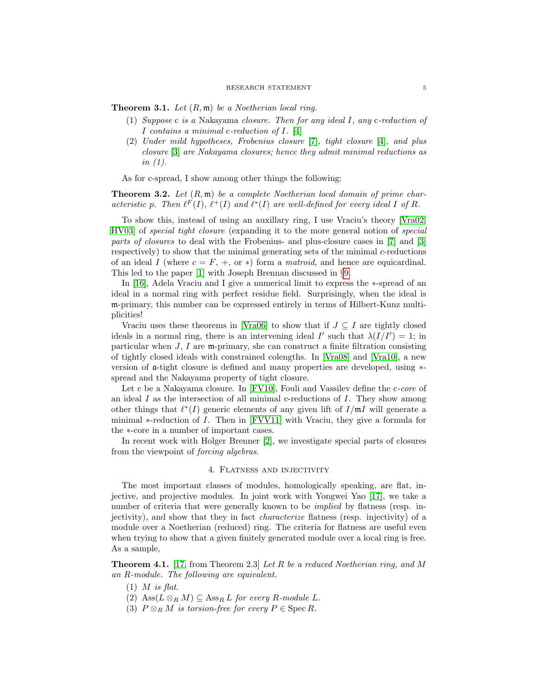**Theorem 3.1.** Let  $(R, \mathfrak{m})$  be a Noetherian local ring.

- (1) Suppose c is a Nakayama closure. Then for any ideal I, any c-reduction of I contains a minimal c-reduction of  $I$ . [\[4\]](#page-9-3)
- (2) Under mild hypotheses, Frobenius closure [\[7\]](#page-9-5), tight closure [\[4\]](#page-9-3), and plus closure [\[3\]](#page-9-6) are Nakayama closures; hence they admit minimal reductions as in  $(1)$ .

As for c-spread, I show among other things the following:

**Theorem 3.2.** Let  $(R, \mathfrak{m})$  be a complete Noetherian local domain of prime characteristic p. Then  $\ell^F(I)$ ,  $\ell^+(I)$  and  $\ell^*(I)$  are well-defined for every ideal I of R.

To show this, instead of using an auxillary ring, I use Vraciu's theory [\[Vra02,](#page-11-3) [HV03\]](#page-10-10) of special tight closure (expanding it to the more general notion of special parts of closures to deal with the Frobenius- and plus-closure cases in [\[7\]](#page-9-5) and [\[3\]](#page-9-6) respectively) to show that the minimal generating sets of the minimal  $c$ -reductions of an ideal I (where  $c = F, +, \text{ or } *$ ) form a *matroid*, and hence are equicardinal. This led to the paper [\[1\]](#page-9-1) with Joseph Brennan discussed in §[9.](#page-8-0)

In [\[16\]](#page-10-11), Adela Vraciu and I give a numerical limit to express the ∗-spread of an ideal in a normal ring with perfect residue field. Surprisingly, when the ideal is m-primary, this number can be expressed entirely in terms of Hilbert-Kunz multiplicities!

Vraciu uses these theorems in [\[Vra06\]](#page-11-0) to show that if  $J \subseteq I$  are tightly closed ideals in a normal ring, there is an intervening ideal I' such that  $\lambda(I/I') = 1$ ; in particular when  $J, I$  are m-primary, she can construct a finite filtration consisting of tightly closed ideals with constrained colengths. In [\[Vra08\]](#page-11-1) and [\[Vra10\]](#page-11-2), a new version of a-tight closure is defined and many properties are developed, using ∗ spread and the Nakayama property of tight closure.

Let c be a Nakayama closure. In [\[FV10\]](#page-10-7), Fouli and Vassilev define the c-core of an ideal  $I$  as the intersection of all minimal c-reductions of  $I$ . They show among other things that  $\ell^*(I)$  generic elements of any given lift of  $I/\mathfrak{m} I$  will generate a minimal  $*$ -reduction of I. Then in [\[FVV11\]](#page-10-8) with Vraciu, they give a formula for the ∗-core in a number of important cases.

In recent work with Holger Brenner [\[2\]](#page-9-7), we investigate special parts of closures from the viewpoint of forcing algebras.

# 4. Flatness and injectivity

<span id="page-4-0"></span>The most important classes of modules, homologically speaking, are flat, injective, and projective modules. In joint work with Yongwei Yao [\[17\]](#page-10-12), we take a number of criteria that were generally known to be *implied* by flatness (resp. injectivity), and show that they in fact characterize flatness (resp. injectivity) of a module over a Noetherian (reduced) ring. The criteria for flatness are useful even when trying to show that a given finitely generated module over a local ring is free. As a sample,

**Theorem 4.1.** [\[17,](#page-10-12) from Theorem 2.3] Let R be a reduced Noetherian ring, and M an R-module. The following are equivalent.

- $(1)$  *M* is flat.
- (2)  $\text{Ass}(L \otimes_R M) \subseteq \text{Ass}_R L$  for every R-module L.
- (3)  $P \otimes_R M$  is torsion-free for every  $P \in \operatorname{Spec} R$ .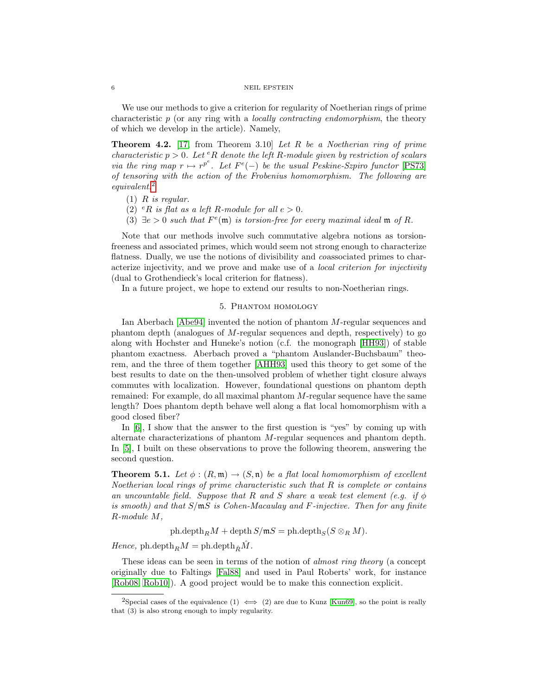We use our methods to give a criterion for regularity of Noetherian rings of prime characteristic  $p$  (or any ring with a *locally contracting endomorphism*, the theory of which we develop in the article). Namely,

**Theorem 4.2.** [\[17,](#page-10-12) from Theorem 3.10] Let R be a Noetherian ring of prime characteristic  $p > 0$ . Let <sup>e</sup>R denote the left R-module given by restriction of scalars via the ring map  $r \mapsto r^{p^e}$ . Let  $F^e(-)$  be the usual Peskine-Szpiro functor [\[PS73\]](#page-11-4) of tensoring with the action of the Frobenius homomorphism. The following are equivalent.[2](#page-5-1)

- $(1)$  R is regular.
- (2)  $^eR$  is flat as a left R-module for all  $e > 0$ .
- (3)  $\exists e > 0$  such that  $F^e(\mathfrak{m})$  is torsion-free for every maximal ideal  $\mathfrak{m}$  of R.

Note that our methods involve such commutative algebra notions as torsionfreeness and associated primes, which would seem not strong enough to characterize flatness. Dually, we use the notions of divisibility and coassociated primes to characterize injectivity, and we prove and make use of a local criterion for injectivity (dual to Grothendieck's local criterion for flatness).

<span id="page-5-0"></span>In a future project, we hope to extend our results to non-Noetherian rings.

# 5. Phantom homology

Ian Aberbach [\[Abe94\]](#page-10-0) invented the notion of phantom M-regular sequences and phantom depth (analogues of M-regular sequences and depth, respectively) to go along with Hochster and Huneke's notion (c.f. the monograph [\[HH93\]](#page-10-13)) of stable phantom exactness. Aberbach proved a "phantom Auslander-Buchsbaum" theorem, and the three of them together [\[AHH93\]](#page-10-14) used this theory to get some of the best results to date on the then-unsolved problem of whether tight closure always commutes with localization. However, foundational questions on phantom depth remained: For example, do all maximal phantom M-regular sequence have the same length? Does phantom depth behave well along a flat local homomorphism with a good closed fiber?

In [\[6\]](#page-9-8), I show that the answer to the first question is "yes" by coming up with alternate characterizations of phantom M-regular sequences and phantom depth. In [\[5\]](#page-9-9), I built on these observations to prove the following theorem, answering the second question.

**Theorem 5.1.** Let  $\phi$  :  $(R, \mathfrak{m}) \rightarrow (S, \mathfrak{n})$  be a flat local homomorphism of excellent Noetherian local rings of prime characteristic such that R is complete or contains an uncountable field. Suppose that R and S share a weak test element (e.g. if  $\phi$ is smooth) and that S/mS is Cohen-Macaulay and F-injective. Then for any finite R-module M,

ph.depth $_RM$  + depth  $S/\mathfrak{m}S$  = ph.depth<sub>S</sub>( $S \otimes_R M$ ).

Hence, ph.depth $_R M =$ ph.depth $_R \hat{M}$ .

These ideas can be seen in terms of the notion of *almost ring theory* (a concept originally due to Faltings [\[Fal88\]](#page-10-15) and used in Paul Roberts' work, for instance [\[Rob08,](#page-11-5) [Rob10\]](#page-11-6)). A good project would be to make this connection explicit.

<span id="page-5-1"></span><sup>&</sup>lt;sup>2</sup>Special cases of the equivalence (1)  $\iff$  (2) are due to Kunz [\[Kun69\]](#page-10-16), so the point is really that (3) is also strong enough to imply regularity.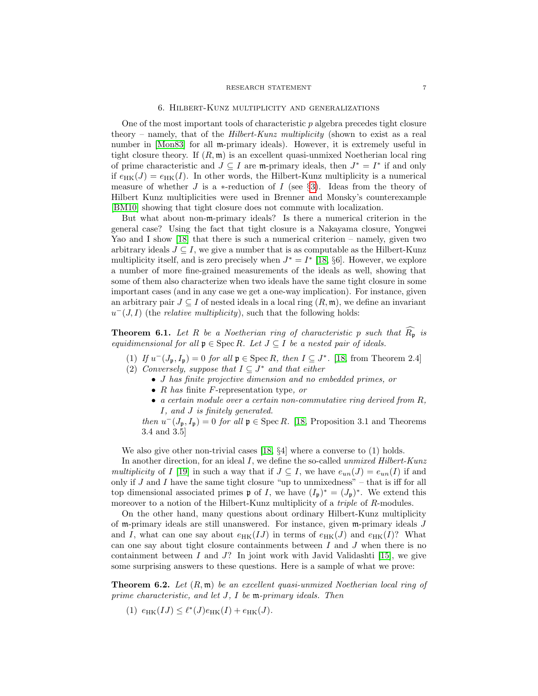### RESEARCH STATEMENT 7

### 6. Hilbert-Kunz multiplicity and generalizations

<span id="page-6-0"></span>One of the most important tools of characteristic  $p$  algebra precedes tight closure theory – namely, that of the *Hilbert-Kunz multiplicity* (shown to exist as a real number in [\[Mon83\]](#page-10-17) for all m-primary ideals). However, it is extremely useful in tight closure theory. If  $(R, \mathfrak{m})$  is an excellent quasi-unmixed Noetherian local ring of prime characteristic and  $J \subseteq I$  are m-primary ideals, then  $J^* = I^*$  if and only if  $e_{HK}(J) = e_{HK}(I)$ . In other words, the Hilbert-Kunz multiplicity is a numerical measure of whether J is a  $*$ -reduction of I (see §[3\)](#page-3-0). Ideas from the theory of Hilbert Kunz multiplicities were used in Brenner and Monsky's counterexample [\[BM10\]](#page-10-5) showing that tight closure does not commute with localization.

But what about non-m-primary ideals? Is there a numerical criterion in the general case? Using the fact that tight closure is a Nakayama closure, Yongwei Yao and I show [\[18\]](#page-10-18) that there is such a numerical criterion – namely, given two arbitrary ideals  $J \subseteq I$ , we give a number that is as computable as the Hilbert-Kunz multiplicity itself, and is zero precisely when  $J^* = I^*$  [\[18,](#page-10-18) §6]. However, we explore a number of more fine-grained measurements of the ideals as well, showing that some of them also characterize when two ideals have the same tight closure in some important cases (and in any case we get a one-way implication). For instance, given an arbitrary pair  $J \subseteq I$  of nested ideals in a local ring  $(R, \mathfrak{m})$ , we define an invariant  $u^-(J, I)$  (the *relative multiplicity*), such that the following holds:

**Theorem 6.1.** Let R be a Noetherian ring of characteristic p such that  $\widehat{R}_{p}$  is equidimensional for all  $\mathfrak{p} \in \mathrm{Spec} R$ . Let  $J \subseteq I$  be a nested pair of ideals.

- (1) If  $u^-(J_p, I_p) = 0$  for all  $\mathfrak{p} \in \text{Spec } R$ , then  $I \subseteq J^*$ . [\[18,](#page-10-18) from Theorem 2.4]
- (2) Conversely, suppose that  $I \subseteq J^*$  and that either
	- J has finite projective dimension and no embedded primes, or
	- R has finite F-representation type, or
	- a certain module over a certain non-commutative ring derived from R, I, and J is finitely generated.

then  $u^-(J_p, I_p) = 0$  for all  $\mathfrak{p} \in \text{Spec } R$ . [\[18,](#page-10-18) Proposition 3.1 and Theorems 3.4 and 3.5]

We also give other non-trivial cases [\[18,](#page-10-18) §4] where a converse to (1) holds.

In another direction, for an ideal I, we define the so-called unmixed Hilbert-Kunz multiplicity of I [\[19\]](#page-10-19) in such a way that if  $J \subseteq I$ , we have  $e_{un}(J) = e_{un}(I)$  if and only if  $J$  and  $I$  have the same tight closure "up to unmixedness" – that is iff for all top dimensional associated primes  $\mathfrak p$  of I, we have  $(I_{\mathfrak p})^* = (J_{\mathfrak p})^*$ . We extend this moreover to a notion of the Hilbert-Kunz multiplicity of a *triple* of R-modules.

On the other hand, many questions about ordinary Hilbert-Kunz multiplicity of m-primary ideals are still unanswered. For instance, given m-primary ideals J and I, what can one say about  $e_{HK}(IJ)$  in terms of  $e_{HK}(J)$  and  $e_{HK}(I)$ ? What can one say about tight closure containments between  $I$  and  $J$  when there is no containment between  $I$  and  $J$ ? In joint work with Javid Validashti [\[15\]](#page-10-20), we give some surprising answers to these questions. Here is a sample of what we prove:

**Theorem 6.2.** Let  $(R, \mathfrak{m})$  be an excellent quasi-unmixed Noetherian local ring of prime characteristic, and let J, I be m-primary ideals. Then

(1)  $e_{HK}(IJ) \leq \ell^*(J)e_{HK}(I) + e_{HK}(J).$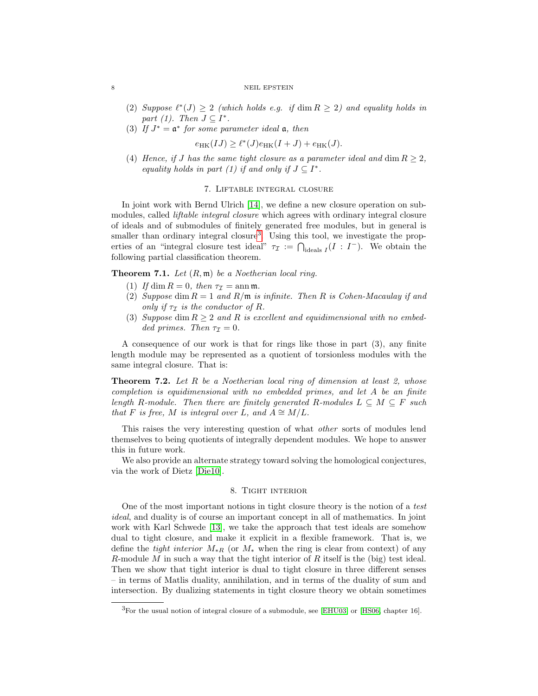- (2) Suppose  $\ell^*(J) \geq 2$  (which holds e.g. if dim  $R \geq 2$ ) and equality holds in part (1). Then  $J \subseteq I^*$ .
- (3) If  $J^* = \mathfrak{a}^*$  for some parameter ideal  $\mathfrak{a}$ , then

 $e_{HK}(IJ) \geq \ell^*(J)e_{HK}(I+J) + e_{HK}(J).$ 

(4) Hence, if J has the same tight closure as a parameter ideal and dim  $R \geq 2$ , equality holds in part (1) if and only if  $J \subseteq I^*$ .

# 7. Liftable integral closure

<span id="page-7-0"></span>In joint work with Bernd Ulrich [\[14\]](#page-10-21), we define a new closure operation on submodules, called *liftable integral closure* which agrees with ordinary integral closure of ideals and of submodules of finitely generated free modules, but in general is smaller than ordinary integral closure<sup>[3](#page-7-2)</sup>. Using this tool, we investigate the properties of an "integral closure test ideal"  $\tau_{\mathcal{I}} := \bigcap_{\text{ideals } I} (I : I^{-})$ . We obtain the following partial classification theorem.

**Theorem 7.1.** Let  $(R, \mathfrak{m})$  be a Noetherian local ring.

- (1) If dim  $R = 0$ , then  $\tau_{\mathcal{I}} = \text{ann } \mathfrak{m}$ .
- (2) Suppose dim  $R = 1$  and  $R/\mathfrak{m}$  is infinite. Then R is Cohen-Macaulay if and only if  $\tau_{\mathcal{I}}$  is the conductor of R.
- (3) Suppose dim  $R \geq 2$  and R is excellent and equidimensional with no embedded primes. Then  $\tau_{\mathcal{I}} = 0$ .

A consequence of our work is that for rings like those in part (3), any finite length module may be represented as a quotient of torsionless modules with the same integral closure. That is:

**Theorem 7.2.** Let  $R$  be a Noetherian local ring of dimension at least  $2$ , whose completion is equidimensional with no embedded primes, and let A be an finite length R-module. Then there are finitely generated R-modules  $L \subseteq M \subseteq F$  such that F is free, M is integral over L, and  $A \cong M/L$ .

This raises the very interesting question of what other sorts of modules lend themselves to being quotients of integrally dependent modules. We hope to answer this in future work.

We also provide an alternate strategy toward solving the homological conjectures, via the work of Dietz [\[Die10\]](#page-10-22).

# 8. Tight interior

<span id="page-7-1"></span>One of the most important notions in tight closure theory is the notion of a test ideal, and duality is of course an important concept in all of mathematics. In joint work with Karl Schwede [\[13\]](#page-10-23), we take the approach that test ideals are somehow dual to tight closure, and make it explicit in a flexible framework. That is, we define the tight interior  $M_{*R}$  (or  $M_{*}$  when the ring is clear from context) of any R-module M in such a way that the tight interior of R itself is the (big) test ideal. Then we show that tight interior is dual to tight closure in three different senses – in terms of Matlis duality, annihilation, and in terms of the duality of sum and intersection. By dualizing statements in tight closure theory we obtain sometimes

<span id="page-7-2"></span><sup>3</sup>For the usual notion of integral closure of a submodule, see [\[EHU03\]](#page-10-24) or [\[HS06,](#page-10-25) chapter 16].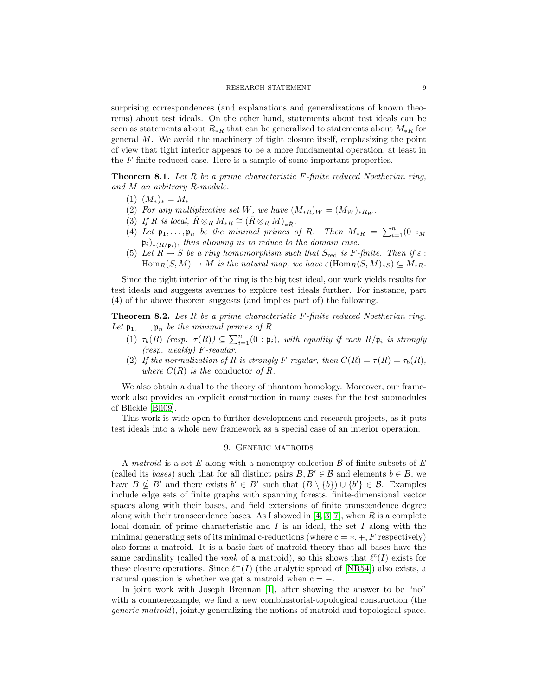surprising correspondences (and explanations and generalizations of known theorems) about test ideals. On the other hand, statements about test ideals can be seen as statements about  $R_{*R}$  that can be generalized to statements about  $M_{*R}$  for general M. We avoid the machinery of tight closure itself, emphasizing the point of view that tight interior appears to be a more fundamental operation, at least in the F-finite reduced case. Here is a sample of some important properties.

**Theorem 8.1.** Let R be a prime characteristic F-finite reduced Noetherian ring, and M an arbitrary R-module.

- $(1)$   $(M_*)_* = M_*$
- (2) For any multiplicative set W, we have  $(M_{*R})_W = (M_W)_{*R_W}$ .
- (3) If R is local,  $\hat{R} \otimes_R M_{*R} \cong (\hat{R} \otimes_R M)_{* \hat{R}}$ .
- (4) Let  $\mathfrak{p}_1, \ldots, \mathfrak{p}_n$  be the minimal primes of R. Then  $M_{*R} = \sum_{i=1}^n (0 : M_i)$  $(\mathfrak{p}_i)_{*(R/\mathfrak{p}_i)}$ , thus allowing us to reduce to the domain case.
- (5) Let  $R \to S$  be a ring homomorphism such that  $S_{\text{red}}$  is F-finite. Then if  $\varepsilon$ :  $\text{Hom}_R(S, M) \to M$  is the natural map, we have  $\varepsilon(\text{Hom}_R(S, M)_{*S}) \subseteq M_{*R}$ .

Since the tight interior of the ring is the big test ideal, our work yields results for test ideals and suggests avenues to explore test ideals further. For instance, part (4) of the above theorem suggests (and implies part of) the following.

**Theorem 8.2.** Let R be a prime characteristic  $F$ -finite reduced Noetherian ring. Let  $\mathfrak{p}_1, \ldots, \mathfrak{p}_n$  be the minimal primes of R.

- (1)  $\tau_b(R)$  (resp.  $\tau(R)$ )  $\subseteq \sum_{i=1}^n (0 : \mathfrak{p}_i)$ , with equality if each  $R/\mathfrak{p}_i$  is strongly (resp. weakly) F-regular.
- (2) If the normalization of R is strongly F-regular, then  $C(R) = \tau(R) = \tau_b(R)$ , where  $C(R)$  is the conductor of R.

We also obtain a dual to the theory of phantom homology. Moreover, our framework also provides an explicit construction in many cases for the test submodules of Blickle [\[Bli09\]](#page-10-26).

This work is wide open to further development and research projects, as it puts test ideals into a whole new framework as a special case of an interior operation.

## 9. Generic matroids

<span id="page-8-0"></span>A matroid is a set  $E$  along with a nonempty collection  $\mathcal B$  of finite subsets of  $E$ (called its bases) such that for all distinct pairs  $B, B' \in \mathcal{B}$  and elements  $b \in B$ , we have  $B \nsubseteq B'$  and there exists  $b' \in B'$  such that  $(B \setminus \{b\}) \cup \{b'\} \in \mathcal{B}$ . Examples include edge sets of finite graphs with spanning forests, finite-dimensional vector spaces along with their bases, and field extensions of finite transcendence degree along with their transcendence bases. As I showed in  $[4, 3, 7]$  $[4, 3, 7]$  $[4, 3, 7]$ , when R is a complete local domain of prime characteristic and  $I$  is an ideal, the set  $I$  along with the minimal generating sets of its minimal c-reductions (where  $c = *, +, F$  respectively) also forms a matroid. It is a basic fact of matroid theory that all bases have the same cardinality (called the *rank* of a matroid), so this shows that  $\ell^c(I)$  exists for these closure operations. Since  $\ell^{-}(I)$  (the analytic spread of [\[NR54\]](#page-10-9)) also exists, a natural question is whether we get a matroid when  $c = -$ .

In joint work with Joseph Brennan [\[1\]](#page-9-1), after showing the answer to be "no" with a counterexample, we find a new combinatorial-topological construction (the generic matroid), jointly generalizing the notions of matroid and topological space.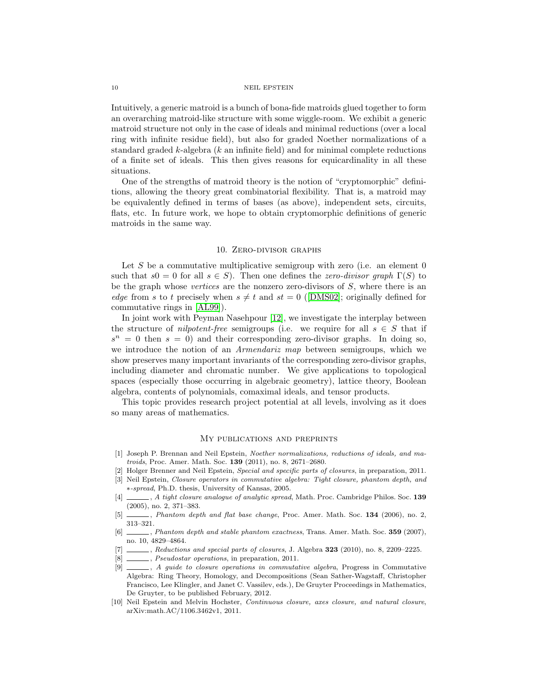Intuitively, a generic matroid is a bunch of bona-fide matroids glued together to form an overarching matroid-like structure with some wiggle-room. We exhibit a generic matroid structure not only in the case of ideals and minimal reductions (over a local ring with infinite residue field), but also for graded Noether normalizations of a standard graded  $k$ -algebra  $(k$  an infinite field) and for minimal complete reductions of a finite set of ideals. This then gives reasons for equicardinality in all these situations.

One of the strengths of matroid theory is the notion of "cryptomorphic" definitions, allowing the theory great combinatorial flexibility. That is, a matroid may be equivalently defined in terms of bases (as above), independent sets, circuits, flats, etc. In future work, we hope to obtain cryptomorphic definitions of generic matroids in the same way.

# 10. Zero-divisor graphs

<span id="page-9-0"></span>Let  $S$  be a commutative multiplicative semigroup with zero (i.e. an element  $0$ such that  $s0 = 0$  for all  $s \in S$ ). Then one defines the *zero-divisor graph*  $\Gamma(S)$  to be the graph whose vertices are the nonzero zero-divisors of  $S$ , where there is an edgefrom s to t precisely when  $s \neq t$  and  $st = 0$  ([\[DMS02\]](#page-10-27); originally defined for commutative rings in [\[AL99\]](#page-10-28)).

In joint work with Peyman Nasehpour [\[12\]](#page-10-29), we investigate the interplay between the structure of *nilpotent-free* semigroups (i.e. we require for all  $s \in S$  that if  $s^n = 0$  then  $s = 0$ ) and their corresponding zero-divisor graphs. In doing so, we introduce the notion of an Armendariz map between semigroups, which we show preserves many important invariants of the corresponding zero-divisor graphs, including diameter and chromatic number. We give applications to topological spaces (especially those occurring in algebraic geometry), lattice theory, Boolean algebra, contents of polynomials, comaximal ideals, and tensor products.

This topic provides research project potential at all levels, involving as it does so many areas of mathematics.

## My publications and preprints

- <span id="page-9-1"></span>[1] Joseph P. Brennan and Neil Epstein, Noether normalizations, reductions of ideals, and matroids, Proc. Amer. Math. Soc. 139 (2011), no. 8, 2671–2680.
- <span id="page-9-7"></span>[2] Holger Brenner and Neil Epstein, Special and specific parts of closures, in preparation, 2011.
- <span id="page-9-6"></span>[3] Neil Epstein, Closure operators in commutative algebra: Tight closure, phantom depth, and ∗-spread, Ph.D. thesis, University of Kansas, 2005.
- <span id="page-9-3"></span>[4]  $\qquad \qquad$ , A tight closure analogue of analytic spread, Math. Proc. Cambridge Philos. Soc. 139 (2005), no. 2, 371–383.
- <span id="page-9-9"></span>[5]  $\qquad \qquad$ , Phantom depth and flat base change, Proc. Amer. Math. Soc. 134 (2006), no. 2, 313–321.
- <span id="page-9-8"></span>[6] , Phantom depth and stable phantom exactness, Trans. Amer. Math. Soc. 359 (2007), no. 10, 4829–4864.
- <span id="page-9-5"></span>Feductions and special parts of closures, J. Algebra 323 (2010), no. 8, 2209–2225.
- $\_$ , *Pseudostar operations*, in preparation, 2011.
- <span id="page-9-4"></span>[9] , A guide to closure operations in commutative algebra, Progress in Commutative Algebra: Ring Theory, Homology, and Decompositions (Sean Sather-Wagstaff, Christopher Francisco, Lee Klingler, and Janet C. Vassilev, eds.), De Gruyter Proceedings in Mathematics, De Gruyter, to be published February, 2012.
- <span id="page-9-2"></span>[10] Neil Epstein and Melvin Hochster, Continuous closure, axes closure, and natural closure, arXiv:math.AC/1106.3462v1, 2011.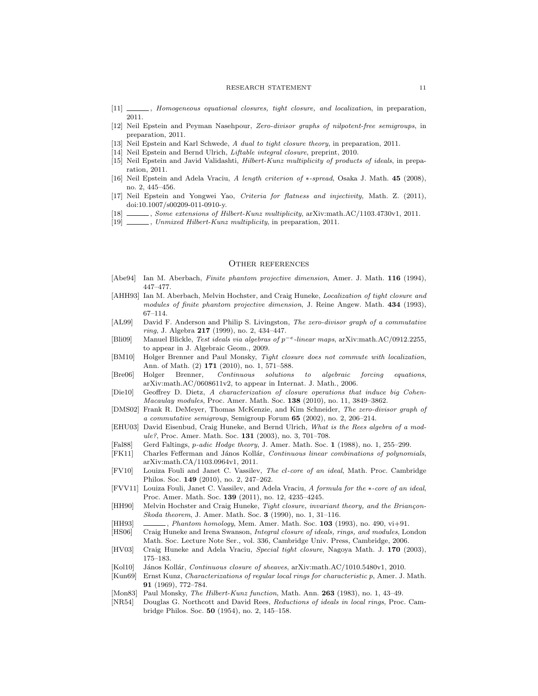#### RESEARCH STATEMENT 11

- <span id="page-10-6"></span>[11] \_\_\_\_\_, Homogeneous equational closures, tight closure, and localization, in preparation, 2011.
- <span id="page-10-29"></span>[12] Neil Epstein and Peyman Nasehpour, Zero-divisor graphs of nilpotent-free semigroups, in preparation, 2011.
- <span id="page-10-23"></span>[13] Neil Epstein and Karl Schwede, A dual to tight closure theory, in preparation, 2011.
- <span id="page-10-21"></span>[14] Neil Epstein and Bernd Ulrich, Liftable integral closure, preprint, 2010.
- <span id="page-10-20"></span>[15] Neil Epstein and Javid Validashti, Hilbert-Kunz multiplicity of products of ideals, in preparation, 2011.
- <span id="page-10-11"></span>[16] Neil Epstein and Adela Vraciu, A length criterion of ∗-spread, Osaka J. Math. 45 (2008), no. 2, 445–456.
- <span id="page-10-12"></span>[17] Neil Epstein and Yongwei Yao, Criteria for flatness and injectivity, Math. Z. (2011), doi:10.1007/s00209-011-0910-y.
- <span id="page-10-18"></span>[18] , Some extensions of Hilbert-Kunz multiplicity, arXiv:math.AC/1103.4730v1, 2011.
- <span id="page-10-19"></span>[19] \_\_\_\_\_\_, Unmixed Hilbert-Kunz multiplicity, in preparation, 2011.

### Other references

- <span id="page-10-0"></span>[Abe94] Ian M. Aberbach, Finite phantom projective dimension, Amer. J. Math. 116 (1994), 447–477.
- <span id="page-10-14"></span>[AHH93] Ian M. Aberbach, Melvin Hochster, and Craig Huneke, *Localization of tight closure and* modules of finite phantom projective dimension, J. Reine Angew. Math. 434 (1993), 67–114.
- <span id="page-10-28"></span>[AL99] David F. Anderson and Philip S. Livingston, The zero-divisor graph of a commutative ring, J. Algebra 217 (1999), no. 2, 434–447.
- <span id="page-10-26"></span>[Bli09] Manuel Blickle, Test ideals via algebras of p−<sup>e</sup> -linear maps, arXiv:math.AC/0912.2255, to appear in J. Algebraic Geom., 2009.
- <span id="page-10-5"></span>[BM10] Holger Brenner and Paul Monsky, Tight closure does not commute with localization, Ann. of Math. (2) 171 (2010), no. 1, 571–588.
- <span id="page-10-1"></span>[Bre06] Holger Brenner, Continuous solutions to algebraic forcing equations, arXiv:math.AC/0608611v2, to appear in Internat. J. Math., 2006.
- <span id="page-10-22"></span>[Die10] Geoffrey D. Dietz, A characterization of closure operations that induce big Cohen-Macaulay modules, Proc. Amer. Math. Soc. 138 (2010), no. 11, 3849–3862.
- <span id="page-10-27"></span>[DMS02] Frank R. DeMeyer, Thomas McKenzie, and Kim Schneider, The zero-divisor graph of a commutative semigroup, Semigroup Forum 65 (2002), no. 2, 206–214.
- <span id="page-10-24"></span>[EHU03] David Eisenbud, Craig Huneke, and Bernd Ulrich, What is the Rees algebra of a module?, Proc. Amer. Math. Soc. 131 (2003), no. 3, 701–708.
- <span id="page-10-15"></span>[Fal88] Gerd Faltings, p-adic Hodge theory, J. Amer. Math. Soc. 1 (1988), no. 1, 255–299.
- <span id="page-10-3"></span>[FK11] Charles Fefferman and János Kollár, Continuous linear combinations of polynomials, arXiv:math.CA/1103.0964v1, 2011.
- <span id="page-10-7"></span>[FV10] Louiza Fouli and Janet C. Vassilev, The cl-core of an ideal, Math. Proc. Cambridge Philos. Soc. 149 (2010), no. 2, 247–262.
- <span id="page-10-8"></span>[FVV11] Louiza Fouli, Janet C. Vassilev, and Adela Vraciu, A formula for the ∗-core of an ideal, Proc. Amer. Math. Soc. 139 (2011), no. 12, 4235–4245.
- <span id="page-10-4"></span>[HH90] Melvin Hochster and Craig Huneke, Tight closure, invariant theory, and the Briançon-Skoda theorem, J. Amer. Math. Soc. 3 (1990), no. 1, 31–116.
- <span id="page-10-13"></span>[HH93] , Phantom homology, Mem. Amer. Math. Soc. 103 (1993), no. 490, vi+91.
- <span id="page-10-25"></span>[HS06] Craig Huneke and Irena Swanson, Integral closure of ideals, rings, and modules, London Math. Soc. Lecture Note Ser., vol. 336, Cambridge Univ. Press, Cambridge, 2006.
- <span id="page-10-10"></span>[HV03] Craig Huneke and Adela Vraciu, Special tight closure, Nagoya Math. J. 170 (2003), 175–183.
- <span id="page-10-2"></span>[Kol10] János Kollár, Continuous closure of sheaves, arXiv:math.AC/1010.5480v1, 2010.
- <span id="page-10-16"></span>[Kun69] Ernst Kunz, Characterizations of regular local rings for characteristic p, Amer. J. Math. 91 (1969), 772–784.
- <span id="page-10-17"></span>[Mon83] Paul Monsky, The Hilbert-Kunz function, Math. Ann. 263 (1983), no. 1, 43-49.
- <span id="page-10-9"></span>[NR54] Douglas G. Northcott and David Rees, Reductions of ideals in local rings, Proc. Cambridge Philos. Soc. 50 (1954), no. 2, 145–158.